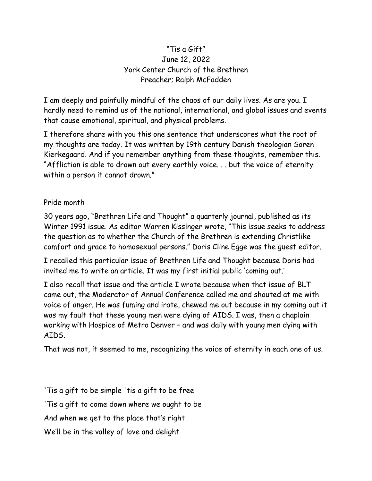## "Tis a Gift" June 12, 2022 York Center Church of the Brethren Preacher; Ralph McFadden

I am deeply and painfully mindful of the chaos of our daily lives. As are you. I hardly need to remind us of the national, international, and global issues and events that cause emotional, spiritual, and physical problems.

I therefore share with you this one sentence that underscores what the root of my thoughts are today. It was written by 19th century Danish theologian Soren Kierkegaard. And if you remember anything from these thoughts, remember this. "Affliction is able to drown out every earthly voice. . . but the voice of eternity within a person it cannot drown."

## Pride month

30 years ago, "Brethren Life and Thought" a quarterly journal, published as its Winter 1991 issue. As editor Warren Kissinger wrote, "This issue seeks to address the question as to whether the Church of the Brethren is extending Christlike comfort and grace to homosexual persons." Doris Cline Egge was the guest editor.

I recalled this particular issue of Brethren Life and Thought because Doris had invited me to write an article. It was my first initial public 'coming out.'

I also recall that issue and the article I wrote because when that issue of BLT came out, the Moderator of Annual Conference called me and shouted at me with voice of anger. He was fuming and irate, chewed me out because in my coming out it was my fault that these young men were dying of AIDS. I was, then a chaplain working with Hospice of Metro Denver – and was daily with young men dying with AIDS.

That was not, it seemed to me, recognizing the voice of eternity in each one of us.

'Tis a gift to be simple 'tis a gift to be free 'Tis a gift to come down where we ought to be And when we get to the place that's right We'll be in the valley of love and delight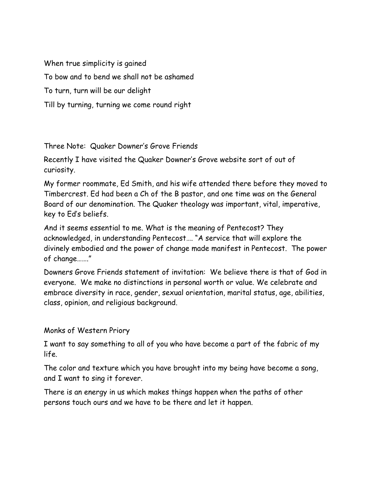When true simplicity is gained To bow and to bend we shall not be ashamed To turn, turn will be our delight Till by turning, turning we come round right

Three Note: Quaker Downer's Grove Friends

Recently I have visited the Quaker Downer's Grove website sort of out of curiosity.

My former roommate, Ed Smith, and his wife attended there before they moved to Timbercrest. Ed had been a Ch of the B pastor, and one time was on the General Board of our denomination. The Quaker theology was important, vital, imperative, key to Ed's beliefs.

And it seems essential to me. What is the meaning of Pentecost? They acknowledged, in understanding Pentecost…. "A service that will explore the divinely embodied and the power of change made manifest in Pentecost. The power of change……."

Downers Grove Friends statement of invitation: We believe there is that of God in everyone. We make no distinctions in personal worth or value. We celebrate and embrace diversity in race, gender, sexual orientation, marital status, age, abilities, class, opinion, and religious background.

## Monks of Western Priory

I want to say something to all of you who have become a part of the fabric of my life.

The color and texture which you have brought into my being have become a song, and I want to sing it forever.

There is an energy in us which makes things happen when the paths of other persons touch ours and we have to be there and let it happen.